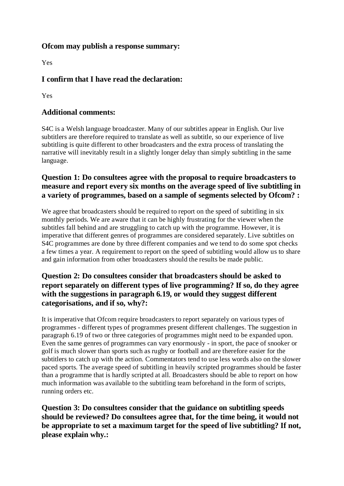#### **Ofcom may publish a response summary:**

Yes

# **I confirm that I have read the declaration:**

Yes

### **Additional comments:**

S4C is a Welsh language broadcaster. Many of our subtitles appear in English. Our live subtitlers are therefore required to translate as well as subtitle, so our experience of live subtitling is quite different to other broadcasters and the extra process of translating the narrative will inevitably result in a slightly longer delay than simply subtitling in the same language.

# **Question 1: Do consultees agree with the proposal to require broadcasters to measure and report every six months on the average speed of live subtitling in a variety of programmes, based on a sample of segments selected by Ofcom? :**

We agree that broadcasters should be required to report on the speed of subtitling in six monthly periods. We are aware that it can be highly frustrating for the viewer when the subtitles fall behind and are struggling to catch up with the programme. However, it is imperative that different genres of programmes are considered separately. Live subtitles on S4C programmes are done by three different companies and we tend to do some spot checks a few times a year. A requirement to report on the speed of subtitling would allow us to share and gain information from other broadcasters should the results be made public.

# **Question 2: Do consultees consider that broadcasters should be asked to report separately on different types of live programming? If so, do they agree with the suggestions in paragraph 6.19, or would they suggest different categorisations, and if so, why?:**

It is imperative that Ofcom require broadcasters to report separately on various types of programmes - different types of programmes present different challenges. The suggestion in paragraph 6.19 of two or three categories of programmes might need to be expanded upon. Even the same genres of programmes can vary enormously - in sport, the pace of snooker or golf is much slower than sports such as rugby or football and are therefore easier for the subtitlers to catch up with the action. Commentators tend to use less words also on the slower paced sports. The average speed of subtitling in heavily scripted programmes should be faster than a programme that is hardly scripted at all. Broadcasters should be able to report on how much information was available to the subtitling team beforehand in the form of scripts, running orders etc.

**Question 3: Do consultees consider that the guidance on subtitling speeds should be reviewed? Do consultees agree that, for the time being, it would not be appropriate to set a maximum target for the speed of live subtitling? If not, please explain why.:**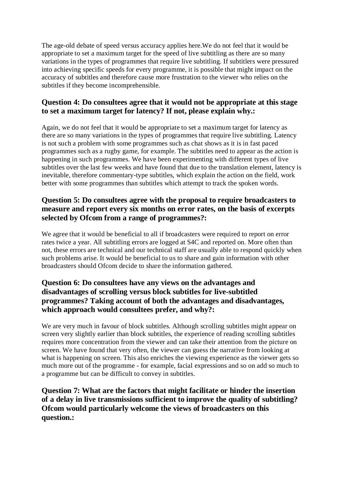The age-old debate of speed versus accuracy applies here.We do not feel that it would be appropriate to set a maximum target for the speed of live subtitling as there are so many variations in the types of programmes that require live subtitling. If subtitlers were pressured into achieving specific speeds for every programme, it is possible that might impact on the accuracy of subtitles and therefore cause more frustration to the viewer who relies on the subtitles if they become incomprehensible.

## **Question 4: Do consultees agree that it would not be appropriate at this stage to set a maximum target for latency? If not, please explain why.:**

Again, we do not feel that it would be appropriate to set a maximum target for latency as there are so many variations in the types of programmes that require live subtitling. Latency is not such a problem with some programmes such as chat shows as it is in fast paced programmes such as a rugby game, for example. The subtitles need to appear as the action is happening in such programmes. We have been experimenting with different types of live subtitles over the last few weeks and have found that due to the translation element, latency is inevitable, therefore commentary-type subtitles, which explain the action on the field, work better with some programmes than subtitles which attempt to track the spoken words.

#### **Question 5: Do consultees agree with the proposal to require broadcasters to measure and report every six months on error rates, on the basis of excerpts selected by Ofcom from a range of programmes?:**

We agree that it would be beneficial to all if broadcasters were required to report on error rates twice a year. All subtitling errors are logged at S4C and reported on. More often than not, these errors are technical and our technical staff are usually able to respond quickly when such problems arise. It would be beneficial to us to share and gain information with other broadcasters should Ofcom decide to share the information gathered.

# **Question 6: Do consultees have any views on the advantages and disadvantages of scrolling versus block subtitles for live-subtitled programmes? Taking account of both the advantages and disadvantages, which approach would consultees prefer, and why?:**

We are very much in favour of block subtitles. Although scrolling subtitles might appear on screen very slightly earlier than block subtitles, the experience of reading scrolling subtitles requires more concentration from the viewer and can take their attention from the picture on screen. We have found that very often, the viewer can guess the narrative from looking at what is happening on screen. This also enriches the viewing experience as the viewer gets so much more out of the programme - for example, facial expressions and so on add so much to a programme but can be difficult to convey in subtitles.

**Question 7: What are the factors that might facilitate or hinder the insertion of a delay in live transmissions sufficient to improve the quality of subtitling? Ofcom would particularly welcome the views of broadcasters on this question.:**